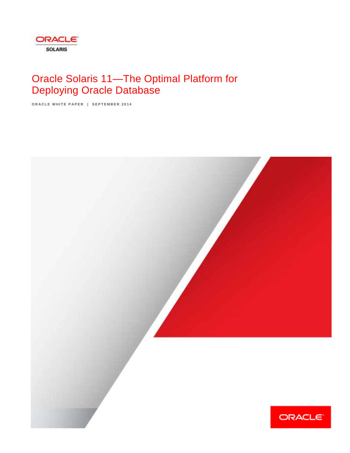

# Oracle Solaris 11—The Optimal Platform for Deploying Oracle Database

**ORACLE WHITE PAPER | SEPTEMBER 2014** 

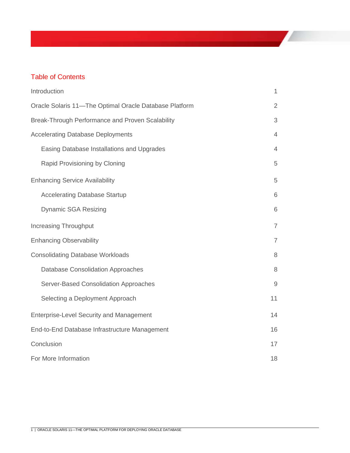# Table of Contents

| Introduction                                           | 1              |
|--------------------------------------------------------|----------------|
| Oracle Solaris 11-The Optimal Oracle Database Platform | $\overline{2}$ |
| Break-Through Performance and Proven Scalability       | 3              |
| <b>Accelerating Database Deployments</b>               | $\overline{4}$ |
| Easing Database Installations and Upgrades             | $\overline{4}$ |
| Rapid Provisioning by Cloning                          | 5              |
| <b>Enhancing Service Availability</b>                  | 5              |
| <b>Accelerating Database Startup</b>                   | 6              |
| <b>Dynamic SGA Resizing</b>                            | 6              |
| <b>Increasing Throughput</b>                           | $\overline{7}$ |
| <b>Enhancing Observability</b>                         | $\overline{7}$ |
| <b>Consolidating Database Workloads</b>                | 8              |
| <b>Database Consolidation Approaches</b>               | $\,8\,$        |
| Server-Based Consolidation Approaches                  | $9\,$          |
| Selecting a Deployment Approach                        | 11             |
| <b>Enterprise-Level Security and Management</b>        | 14             |
| End-to-End Database Infrastructure Management          | 16             |
| Conclusion                                             | 17             |
| For More Information                                   | 18             |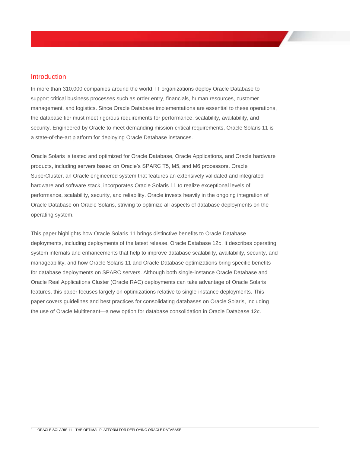### Introduction

In more than 310,000 companies around the world, IT organizations deploy Oracle Database to support critical business processes such as order entry, financials, human resources, customer management, and logistics. Since Oracle Database implementations are essential to these operations, the database tier must meet rigorous requirements for performance, scalability, availability, and security. Engineered by Oracle to meet demanding mission-critical requirements, Oracle Solaris 11 is a state-of-the-art platform for deploying Oracle Database instances.

Oracle Solaris is tested and optimized for Oracle Database, Oracle Applications, and Oracle hardware products, including servers based on Oracle's SPARC T5, M5, and M6 processors. Oracle SuperCluster, an Oracle engineered system that features an extensively validated and integrated hardware and software stack, incorporates Oracle Solaris 11 to realize exceptional levels of performance, scalability, security, and reliability. Oracle invests heavily in the ongoing integration of Oracle Database on Oracle Solaris, striving to optimize all aspects of database deployments on the operating system.

This paper highlights how Oracle Solaris 11 brings distinctive benefits to Oracle Database deployments, including deployments of the latest release, Oracle Database 12*c*. It describes operating system internals and enhancements that help to improve database scalability, availability, security, and manageability, and how Oracle Solaris 11 and Oracle Database optimizations bring specific benefits for database deployments on SPARC servers. Although both single-instance Oracle Database and Oracle Real Applications Cluster (Oracle RAC) deployments can take advantage of Oracle Solaris features, this paper focuses largely on optimizations relative to single-instance deployments. This paper covers guidelines and best practices for consolidating databases on Oracle Solaris, including the use of Oracle Multitenant—a new option for database consolidation in Oracle Database 12*c*.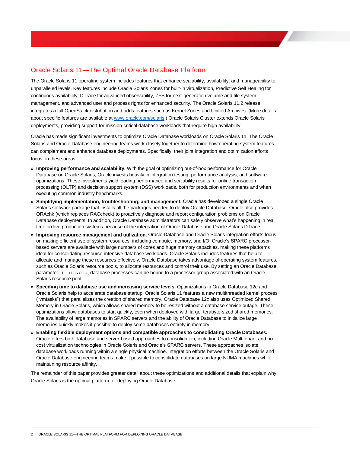# Oracle Solaris 11—The Optimal Oracle Database Platform

The Oracle Solaris 11 operating system includes features that enhance scalability, availability, and manageability to unparalleled levels. Key features include Oracle Solaris Zones for built-in virtualization, Predictive Self Healing for continuous availability, DTrace for advanced observability, ZFS for next-generation volume and file system management, and advanced user and process rights for enhanced security. The Oracle Solaris 11.2 release integrates a full OpenStack distribution and adds features such as Kernel Zones and Unified Archives. (More details about specific features are available a[t www.oracle.com/solaris.\)](http://www.oracle.com/solaris) Oracle Solaris Cluster extends Oracle Solaris deployments, providing support for mission-critical database workloads that require high availability.

Oracle has made significant investments to optimize Oracle Database workloads on Oracle Solaris 11. The Oracle Solaris and Oracle Database engineering teams work closely together to determine how operating system features can complement and enhance database deployments. Specifically, their joint integration and optimization efforts focus on these areas:

- **» Improving performance and scalability.** With the goal of optimizing out-of-box performance for Oracle Database on Oracle Solaris, Oracle invests heavily in integration testing, performance analysis, and software optimizations. These investments yield leading performance and scalability results for online transaction processing (OLTP) and decision support system (DSS) workloads, both for production environments and when executing common industry benchmarks.
- **» Simplifying implementation, troubleshooting, and management.** Oracle has developed a single Oracle Solaris software package that installs all the packages needed to deploy Oracle Database. Oracle also provides ORAchk (which replaces RACcheck) to proactively diagnose and report configuration problems on Oracle Database deployments. In addition, Oracle Database administrators can safely observe what's happening in real time on live production systems because of the integration of Oracle Database and Oracle Solaris DTrace.
- **» Improving resource management and utilization.** Oracle Database and Oracle Solaris integration efforts focus on making efficient use of system resources, including compute, memory, and I/O. Oracle's SPARC processorbased servers are available with large numbers of cores and huge memory capacities, making these platforms ideal for consolidating resource-intensive database workloads. Oracle Solaris includes features that help to allocate and manage these resources effectively. Oracle Database takes advantage of operating system features, such as Oracle Solaris resource pools, to allocate resources and control their use. By setting an Oracle Database parameter in init.ora, database processes can be bound to a processor group associated with an Oracle Solaris resource pool.
- **» Speeding time to database use and increasing service levels.** Optimizations in Oracle Database 12*c* and Oracle Solaris help to accelerate database startup. Oracle Solaris 11 features a new multithreaded kernel process ("vmtasks") that parallelizes the creation of shared memory. Oracle Database 12*c* also uses Optimized Shared Memory in Oracle Solaris, which allows shared memory to be resized without a database service outage. These optimizations allow databases to start quickly, even when deployed with large, terabyte-sized shared memories. The availability of large memories in SPARC servers and the ability of Oracle Database to initialize large memories quickly makes it possible to deploy some databases entirely in memory.
- **» Enabling flexible deployment options and compatible approaches to consolidating Oracle Database**s**.**  Oracle offers both database and server-based approaches to consolidation, including Oracle Multitenant and nocost virtualization technologies in Oracle Solaris and Oracle's SPARC servers. These approaches isolate database workloads running within a single physical machine. Integration efforts between the Oracle Solaris and Oracle Database engineering teams make it possible to consolidate databases on large NUMA machines while maintaining resource affinity.

The remainder of this paper provides greater detail about these optimizations and additional details that explain why Oracle Solaris is the optimal platform for deploying Oracle Database.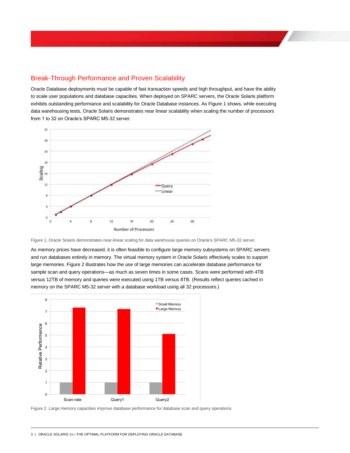# Break-Through Performance and Proven Scalability

Oracle Database deployments must be capable of fast transaction speeds and high throughput, and have the ability to scale user populations and database capacities. When deployed on SPARC servers, the Oracle Solaris platform exhibits outstanding performance and scalability for Oracle Database instances. A[s Figure 1](#page-4-0) shows, while executing data warehousing tests, Oracle Solaris demonstrates near linear scalability when scaling the number of processors from 1 to 32 on Oracle's SPARC M5-32 server.



<span id="page-4-0"></span>Figure 1. Oracle Solaris demonstrates near-linear scaling for data warehouse queries on Oracle's SPARC M5-32 server.

As memory prices have decreased, it is often feasible to configure large memory subsystems on SPARC servers and run databases entirely in memory. The virtual memory system in Oracle Solaris effectively scales to support large memories[. Figure 2](#page-4-1) illustrates how the use of large memories can accelerate database performance for sample scan and query operations—as much as seven times in some cases. Scans were performed with 4TB versus 12TB of memory and queries were executed using 1TB versus 8TB. (Results reflect queries cached in memory on the SPARC M5-32 server with a database workload using all 32 processors.)



<span id="page-4-1"></span>Figure 2. Large memory capacities improve database performance for database scan and query operations.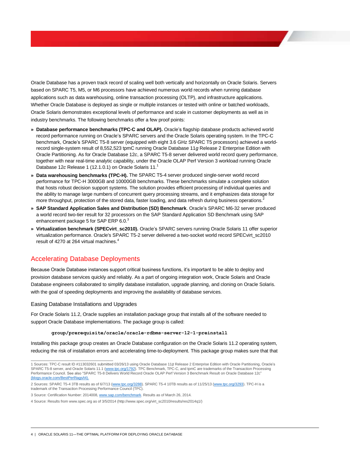Oracle Database has a proven track record of scaling well both vertically and horizontally on Oracle Solaris. Servers based on SPARC T5, M5, or M6 processors have achieved numerous world records when running database applications such as data warehousing, online transaction processing (OLTP), and infrastructure applications. Whether Oracle Database is deployed as single or multiple instances or tested with online or batched workloads, Oracle Solaris demonstrates exceptional levels of performance and scale in customer deployments as well as in industry benchmarks. The following benchmarks offer a few proof points:

- **» Database performance benchmarks (TPC-C and OLAP).** Oracle's flagship database products achieved world record performance running on Oracle's SPARC servers and the Oracle Solaris operating system. In the TPC-C benchmark, Oracle's SPARC T5-8 server (equipped with eight 3.6 GHz SPARC T5 processors) achieved a worldrecord single-system result of 8,552,523 tpmC running Oracle Database 11*g* Release 2 Enterprise Edition with Oracle Partitioning. As for Oracle Database 12*c*, a SPARC T5-8 server delivered world record query performance, together with near real-time analytic capability, under the Oracle OLAP Perf Version 3 workload running Oracle Database 12*c* Release 1 (12.1.0.1) on Oracle Solaris 11. 1
- **» Data warehousing benchmarks (TPC-H).** The SPARC T5-4 server produced single-server world record performance for TPC-H 3000GB and 10000GB benchmarks. These benchmarks simulate a complete solution that hosts robust decision support systems. The solution provides efficient processing of individual queries and the ability to manage large numbers of concurrent query processing streams, and it emphasizes data storage for more throughput, protection of the stored data, faster loading, and data refresh during business operations.<sup>2</sup>
- **» SAP Standard Application Sales and Distribution (SD) Benchmark**. Oracle's SPARC M6-32 server produced a world record two-tier result for 32 processors on the SAP Standard Application SD Benchmark using SAP enhancement package 5 for SAP ERP  $6.0<sup>3</sup>$
- **» Virtualization benchmark (SPECvirt\_sc2010).** Oracle's SPARC servers running Oracle Solaris 11 offer superior virtualization performance. Oracle's SPARC T5-2 server delivered a two-socket world record SPECvirt\_sc2010 result of 4270 at 264 virtual machines. 4

# Accelerating Database Deployments

Because Oracle Database instances support critical business functions, it's important to be able to deploy and provision database services quickly and reliably. As a part of ongoing integration work, Oracle Solaris and Oracle Database engineers collaborated to simplify database installation, upgrade planning, and cloning on Oracle Solaris. with the goal of speeding deployments and improving the availability of database services.

#### Easing Database Installations and Upgrades

For Oracle Solaris 11.2, Oracle supplies an installation package group that installs all of the software needed to support Oracle Database implementations. The package group is called:

#### **group/prerequisite/oracle/oracle-rdbms-server-12-1-preinstall**

Installing this package group creates an Oracle Database configuration on the Oracle Solaris 11.2 operating system, reducing the risk of installation errors and accelerating time-to-deployment. This package group makes sure that that

 1 Sources: TPC-C result ID #113032601 submitted 03/26/13 using Oracle Database 11*g* Release 2 Enterprise Edition with Oracle Partitioning, Oracle's SPARC T5-8 server, and Oracle Solaris 11.1 [\(www.tpc.org/1792\)](http://www.tpc.org/1792). TPC Benchmark, TPC-C, and tpmC are trademarks of the Transaction Processing Performance Council. See also "SPARC T5-8 Delivers World Record Oracle OLAP Perf Version 3 Benchmark Result on Oracle Database 12c" [\(blogs.oracle.com/BestPerf/tags/t4\).](https://blogs.oracle.com/BestPerf/tags/t4)

<sup>2</sup> Sources: SPARC T5-4 3TB results as of 6/7/13 [\(www.tpc.org/3288\)](http://www.tpc.org/3288). SPARC T5-4 10TB results as of 11/25/13 [\(www.tpc.org/3293\).](http://www.tpc.org/3293) TPC-H is a trademark of the Transaction Processing Performance Council (TPC).

<sup>3</sup> Source: Certification Number: 2014008, [www.sap.com/benchmark.](http://www.sap.com/benchmark) Results as of March 26, 2014.

<sup>4</sup> Source: Results fro[m www.spec.org](http://www.spec.org/) as of 3/5/2014 (http://www.spec.org/virt\_sc2010/results/res2014q1/)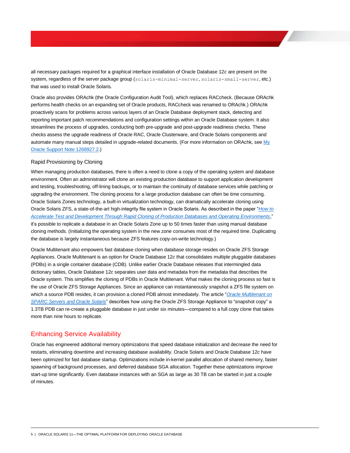all necessary packages required for a graphical interface installation of Oracle Database 12*c* are present on the system, regardless of the server package group (solaris-minimal-server, solaris-small-server, etc.) that was used to install Oracle Solaris.

Oracle also provides ORAchk (the Oracle Configuration Audit Tool), which replaces RACcheck. (Because ORAchk performs health checks on an expanding set of Oracle products, RACcheck was renamed to ORAchk.) ORAchk proactively scans for problems across various layers of an Oracle Database deployment stack, detecting and reporting important patch recommendations and configuration settings within an Oracle Database system. It also streamlines the process of upgrades, conducting both pre-upgrade and post-upgrade readiness checks. These checks assess the upgrade readiness of Oracle RAC, Oracle Clusterware, and Oracle Solaris components and automate many manual steps detailed in upgrade-related documents. (For more information on ORAchk, see My [Oracle Support Note 1268927.2.\)](https://support.oracle.com/rs?type=doc&id=1268927.2)

#### Rapid Provisioning by Cloning

When managing production databases, there is often a need to clone a copy of the operating system and database environment. Often an administrator will clone an existing production database to support application development and testing, troubleshooting, off-lining backups, or to maintain the continuity of database services while patching or upgrading the environment. The cloning process for a large production database can often be time consuming. Oracle Solaris Zones technology, a built-in virtualization technology, can dramatically accelerate cloning using Oracle Solaris ZFS, a state-of-the-art high-integrity file system in Oracle Solaris. As described in the paper "*[How to](http://www.oracle.com/technetwork/server-storage/hardware-solutions/o13-022-rapid-cloning-db-1919816.pdf)  [Accelerate Test and Development Through Rapid Cloning of Production Databases and Operating Environments](http://www.oracle.com/technetwork/server-storage/hardware-solutions/o13-022-rapid-cloning-db-1919816.pdf)*," it's possible to replicate a database in an Oracle Solaris Zone up to 50 times faster than using manual database cloning methods. (Initializing the operating system in the new zone consumes most of the required time. Duplicating the database is largely instantaneous because ZFS features copy-on-write technology.)

Oracle Multitenant also empowers fast database cloning when database storage resides on Oracle ZFS Storage Appliances. Oracle Multitenant is an option for Oracle Database 12*c* that consolidates multiple pluggable databases (PDBs) in a single container database (CDB). Unlike earlier Oracle Database releases that intermingled data dictionary tables, Oracle Database 12*c* separates user data and metadata from the metadata that describes the Oracle system. This simplifies the cloning of PDBs in Oracle Multitenant. What makes the cloning process so fast is the use of Oracle ZFS Storage Appliances. Since an appliance can instantaneously snapshot a ZFS file system on which a source PDB resides, it can provision a cloned PDB almost immediately. The article "*[Oracle Multitenant on](http://www.oracle.com/technetwork/articles/servers-storage-admin/multitenant-on-sparc-solaris-2016889.html)  [SPARC Servers and Oracle Solaris](http://www.oracle.com/technetwork/articles/servers-storage-admin/multitenant-on-sparc-solaris-2016889.html)*" describes how using the Oracle ZFS Storage Appliance to "snapshot copy" a 1.3TB PDB can re-create a pluggable database in just under six minutes—compared to a full copy clone that takes more than nine hours to replicate.

## Enhancing Service Availability

Oracle has engineered additional memory optimizations that speed database initialization and decrease the need for restarts, eliminating downtime and increasing database availability. Oracle Solaris and Oracle Database 12*c* have been optimized for fast database startup. Optimizations include in-kernel parallel allocation of shared memory, faster spawning of background processes, and deferred database SGA allocation. Together these optimizations improve start-up time significantly. Even database instances with an SGA as large as 30 TB can be started in just a couple of minutes.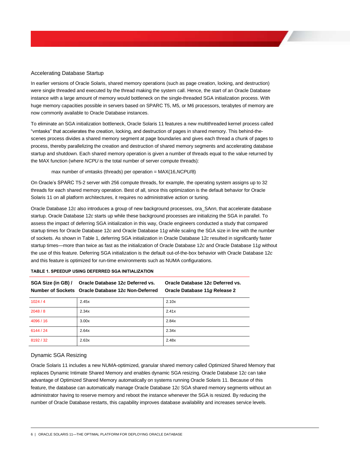#### Accelerating Database Startup

In earlier versions of Oracle Solaris, shared memory operations (such as page creation, locking, and destruction) were single threaded and executed by the thread making the system call. Hence, the start of an Oracle Database instance with a large amount of memory would bottleneck on the single-threaded SGA initialization process. With huge memory capacities possible in servers based on SPARC T5, M5, or M6 processors, terabytes of memory are now commonly available to Oracle Database instances.

To eliminate an SGA initialization bottleneck, Oracle Solaris 11 features a new multithreaded kernel process called "vmtasks" that accelerates the creation, locking, and destruction of pages in shared memory. This behind-thescenes process divides a shared memory segment at page boundaries and gives each thread a chunk of pages to process, thereby parallelizing the creation and destruction of shared memory segments and accelerating database startup and shutdown. Each shared memory operation is given a number of threads equal to the value returned by the MAX function (where *NCPU* is the total number of server compute threads):

max number of vmtasks (threads) per operation = MAX(16,*NCPU*/8)

On Oracle's SPARC T5-2 server with 256 compute threads, for example, the operating system assigns up to 32 threads for each shared memory operation. Best of all, since this optimization is the default behavior for Oracle Solaris 11 on all platform architectures, it requires no administrative action or tuning.

Oracle Database 12*c* also introduces a group of new background processes, ora\_SA*nn*, that accelerate database startup. Oracle Database 12*c* starts up while these background processes are initializing the SGA in parallel. To assess the impact of deferring SGA initialization in this way, Oracle engineers conducted a study that compared startup times for Oracle Database 12*c* and Oracle Database 11*g* while scaling the SGA size in line with the number of sockets. As shown in Table 1, deferring SGA initialization in Oracle Database 12*c* resulted in significantly faster startup times—more than twice as fast as the initialization of Oracle Database 12*c* and Oracle Database 11*g* without the use of this feature. Deferring SGA initialization is the default out-of-the-box behavior with Oracle Database 12*c* and this feature is optimized for run-time environments such as NUMA configurations.

| TABLE 1. SPEEDUP USING DEFERRED SGA INITIALIZATION |  |  |  |
|----------------------------------------------------|--|--|--|
|----------------------------------------------------|--|--|--|

|           | SGA Size (in GB) / Oracle Database 12c Deferred vs.<br>Number of Sockets Oracle Database 12c Non-Deferred | Oracle Database 12c Deferred vs.<br>Oracle Database 11g Release 2 |
|-----------|-----------------------------------------------------------------------------------------------------------|-------------------------------------------------------------------|
| 1024/4    | 2.45x                                                                                                     | 2.10x                                                             |
| 2048/8    | 2.34x                                                                                                     | 2.41x                                                             |
| 4096/16   | 3.00x                                                                                                     | 2.84x                                                             |
| 6144 / 24 | 2.64x                                                                                                     | 2.34x                                                             |
| 8192/32   | 2.63x                                                                                                     | 2.48x                                                             |

### Dynamic SGA Resizing

Oracle Solaris 11 includes a new NUMA-optimized, granular shared memory called Optimized Shared Memory that replaces Dynamic Intimate Shared Memory and enables dynamic SGA resizing. Oracle Database 12*c* can take advantage of Optimized Shared Memory automatically on systems running Oracle Solaris 11. Because of this feature, the database can automatically manage Oracle Database 12*c* SGA shared memory segments without an administrator having to reserve memory and reboot the instance whenever the SGA is resized. By reducing the number of Oracle Database restarts, this capability improves database availability and increases service levels.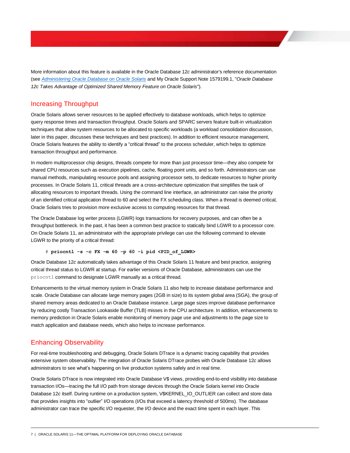More information about this feature is available in the Oracle Database 12*c* administrator's reference documentation (see *[Administering Oracle Database on Oracle Solaris](http://docs.oracle.com/database/121/UNXAR/appe_sol.htm#UNXAR013)* and My Oracle Support Note 1579199.1, "*Oracle Database 12c Takes Advantage of Optimized Shared Memory Feature on Oracle Solaris*").

# Increasing Throughput

Oracle Solaris allows server resources to be applied effectively to database workloads, which helps to optimize query response times and transaction throughput. Oracle Solaris and SPARC servers feature built-in virtualization techniques that allow system resources to be allocated to specific workloads (a workload consolidation discussion, later in this paper, discusses these techniques and best practices). In addition to efficient resource management, Oracle Solaris features the ability to identify a "critical thread" to the process scheduler, which helps to optimize transaction throughput and performance.

In modern multiprocessor chip designs, threads compete for more than just processor time—they also compete for shared CPU resources such as execution pipelines, cache, floating point units, and so forth. Administrators can use manual methods, manipulating resource pools and assigning processor sets, to dedicate resources to higher priority processes. In Oracle Solaris 11, critical threads are a cross-architecture optimization that simplifies the task of allocating resources to important threads. Using the command line interface, an administrator can raise the priority of an identified critical application thread to 60 and select the FX scheduling class. When a thread is deemed critical, Oracle Solaris tries to provision more exclusive access to computing resources for that thread.

The Oracle Database log writer process (LGWR) logs transactions for recovery purposes, and can often be a throughput bottleneck. In the past, it has been a common best practice to statically bind LGWR to a processor core. On Oracle Solaris 11, an administrator with the appropriate privilege can use the following command to elevate LGWR to the priority of a critical thread:

#### # **priocntl -s -c FX -m 60 -p 60 -i pid <PID\_of\_LGWR>**

Oracle Database 12*c* automatically takes advantage of this Oracle Solaris 11 feature and best practice, assigning critical thread status to LGWR at startup. For earlier versions of Oracle Database, administrators can use the priocntl command to designate LGWR manually as a critical thread.

Enhancements to the virtual memory system in Oracle Solaris 11 also help to increase database performance and scale. Oracle Database can allocate large memory pages (2GB in size) to its system global area (SGA), the group of shared memory areas dedicated to an Oracle Database instance. Large page sizes improve database performance by reducing costly Transaction Lookaside Buffer (TLB) misses in the CPU architecture. In addition, enhancements to memory prediction in Oracle Solaris enable monitoring of memory page use and adjustments to the page size to match application and database needs, which also helps to increase performance.

# Enhancing Observability

For real-time troubleshooting and debugging, Oracle Solaris DTrace is a dynamic tracing capability that provides extensive system observability. The integration of Oracle Solaris DTrace probes with Oracle Database 12*c* allows administrators to see what's happening on live production systems safely and in real time.

Oracle Solaris DTrace is now integrated into Oracle Database V\$ views, providing end-to-end visibility into database transaction I/Os—tracing the full I/O path from storage devices through the Oracle Solaris kernel into Oracle Database 12*c* itself. During runtime on a production system, V\$KERNEL\_IO\_OUTLIER can collect and store data that provides insights into "outlier" I/O operations (I/Os that exceed a latency threshold of 500ms). The database administrator can trace the specific I/O requester, the I/O device and the exact time spent in each layer. This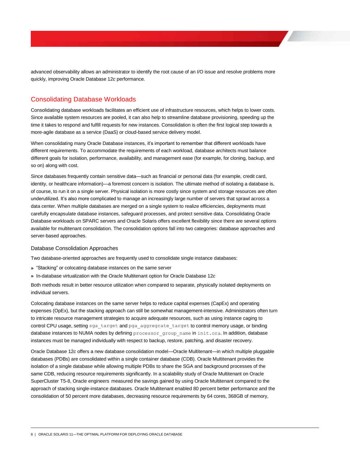advanced observability allows an administrator to identify the root cause of an I/O issue and resolve problems more quickly, improving Oracle Database 12*c* performance.

# Consolidating Database Workloads

Consolidating database workloads facilitates an efficient use of infrastructure resources, which helps to lower costs. Since available system resources are pooled, it can also help to streamline database provisioning, speeding up the time it takes to respond and fulfill requests for new instances. Consolidation is often the first logical step towards a more-agile database as a service (DaaS) or cloud-based service delivery model.

When consolidating many Oracle Database instances, it's important to remember that different workloads have different requirements. To accommodate the requirements of each workload, database architects must balance different goals for isolation, performance, availability, and management ease (for example, for cloning, backup, and so on) along with cost.

Since databases frequently contain sensitive data—such as financial or personal data (for example, credit card, identity, or healthcare information)—a foremost concern is isolation. The ultimate method of isolating a database is, of course, to run it on a single server. Physical isolation is more costly since system and storage resources are often underutilized. It's also more complicated to manage an increasingly large number of servers that sprawl across a data center. When multiple databases are merged on a single system to realize efficiencies, deployments must carefully encapsulate database instances, safeguard processes, and protect sensitive data. Consolidating Oracle Database workloads on SPARC servers and Oracle Solaris offers excellent flexibility since there are several options available for multitenant consolidation. The consolidation options fall into two categories: database approaches and server-based approaches.

#### Database Consolidation Approaches

Two database-oriented approaches are frequently used to consolidate single instance databases:

- **»** "Stacking" or colocating database instances on the same server
- **»** In-database virtualization with the Oracle Multitenant option for Oracle Database 12*c*

Both methods result in better resource utilization when compared to separate, physically isolated deployments on individual servers.

Colocating database instances on the same server helps to reduce capital expenses (CapEx) and operating expenses (OpEx), but the stacking approach can still be somewhat management-intensive. Administrators often turn to intricate resource management strategies to acquire adequate resources, such as using instance caging to control CPU usage, setting sga\_target and pga\_aggregrate\_target to control memory usage, or binding database instances to NUMA nodes by defining processor group name in init.ora. In addition, database instances must be managed individually with respect to backup, restore, patching, and disaster recovery.

Oracle Database 12*c* offers a new database consolidation model—Oracle Multitenant—in which multiple pluggable databases (PDBs) are consolidated within a single container database (CDB). Oracle Multitenant provides the isolation of a single database while allowing multiple PDBs to share the SGA and background processes of the same CDB, reducing resource requirements significantly. In a scalability study of Oracle Multitenant on Oracle SuperCluster T5-8, Oracle engineers measured the savings gained by using Oracle Multitenant compared to the approach of stacking single-instance databases. Oracle Multitenant enabled 80 percent better performance and the consolidation of 50 percent more databases, decreasing resource requirements by 64 cores, 368GB of memory,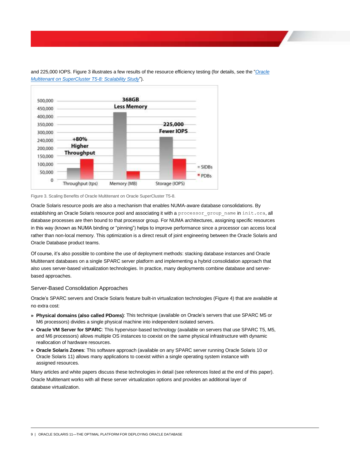

and 225,000 IOPS. [Figure 3](#page-10-0) illustrates a few results of the resource efficiency testing (for details, see the "*[Oracle](http://www.oracle.com/technetwork/database/multitenant/learn-more/oraclemultitenantt5-8-final-2185108.pdf)  [Multitenant on SuperCluster T5-8: Scalability Study](http://www.oracle.com/technetwork/database/multitenant/learn-more/oraclemultitenantt5-8-final-2185108.pdf)*").

<span id="page-10-0"></span>Figure 3. Scaling Benefits of Oracle Multitenant on Oracle SuperCluster T5-8.

Oracle Solaris resource pools are also a mechanism that enables NUMA-aware database consolidations. By establishing an Oracle Solaris resource pool and associating it with a processor group name in init.ora, all database processes are then bound to that processor group. For NUMA architectures, assigning specific resources in this way (known as NUMA binding or "pinning") helps to improve performance since a processor can access local rather than non-local memory. This optimization is a direct result of joint engineering between the Oracle Solaris and Oracle Database product teams.

Of course, it's also possible to combine the use of deployment methods: stacking database instances and Oracle Multitenant databases on a single SPARC server platform and implementing a hybrid consolidation approach that also uses server-based virtualization technologies. In practice, many deployments combine database and serverbased approaches.

#### Server-Based Consolidation Approaches

Oracle's SPARC servers and Oracle Solaris feature built-in virtualization technologies [\(Figure 4\)](#page-11-0) that are available at no extra cost:

- **» Physical domains (also called PDoms)**: This technique (available on Oracle's servers that use SPARC M5 or M6 processors) divides a single physical machine into independent isolated servers.
- **» Oracle VM Server for SPARC**: This hypervisor-based technology (available on servers that use SPARC T5, M5, and M6 processors) allows multiple OS instances to coexist on the same physical infrastructure with dynamic reallocation of hardware resources.
- **» Oracle Solaris Zones**: This software approach (available on any SPARC server running Oracle Solaris 10 or Oracle Solaris 11) allows many applications to coexist within a single operating system instance with assigned resources.

Many articles and white papers discuss these technologies in detail (see references listed at the end of this paper). Oracle Multitenant works with all these server virtualization options and provides an additional layer of database virtualization.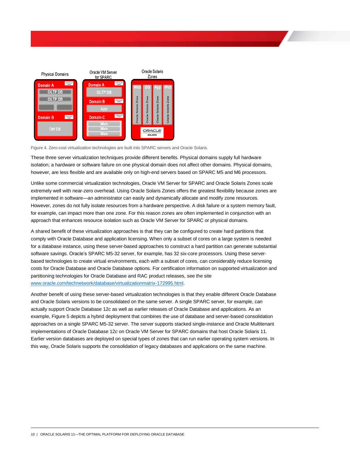

<span id="page-11-0"></span>Figure 4. Zero-cost virtualization technologies are built into SPARC servers and Oracle Solaris.

These three server virtualization techniques provide different benefits. Physical domains supply full hardware isolation; a hardware or software failure on one physical domain does not affect other domains. Physical domains, however, are less flexible and are available only on high-end servers based on SPARC M5 and M6 processors.

Unlike some commercial virtualization technologies, Oracle VM Server for SPARC and Oracle Solaris Zones scale extremely well with near-zero overhead. Using Oracle Solaris Zones offers the greatest flexibility because zones are implemented in software—an administrator can easily and dynamically allocate and modify zone resources. However, zones do not fully isolate resources from a hardware perspective. A disk failure or a system memory fault, for example, can impact more than one zone. For this reason zones are often implemented in conjunction with an approach that enhances resource isolation such as Oracle VM Server for SPARC or physical domains.

A shared benefit of these virtualization approaches is that they can be configured to create hard partitions that comply with Oracle Database and application licensing. When only a subset of cores on a large system is needed for a database instance, using these server-based approaches to construct a hard partition can generate substantial software savings. Oracle's SPARC M5-32 server, for example, has 32 six-core processors. Using these serverbased technologies to create virtual environments, each with a subset of cores, can considerably reduce licensing costs for Oracle Database and Oracle Database options. For certification information on supported virtualization and partitioning technologies for Oracle Database and RAC product releases, see the site [www.oracle.com/technetwork/database/virtualizationmatrix-172995.html.](http://www.oracle.com/technetwork/database/virtualizationmatrix-172995.html)

Another benefit of using these server-based virtualization technologies is that they enable different Oracle Database and Oracle Solaris versions to be consolidated on the same server. A single SPARC server, for example, can actually support Oracle Database 12*c* as well as earlier releases of Oracle Database and applications. As an example[, Figure 5](#page-12-0) depicts a hybrid deployment that combines the use of database and server-based consolidation approaches on a single SPARC M5-32 server. The server supports stacked single-instance and Oracle Multitenant implementations of Oracle Database 12*c* on Oracle VM Server for SPARC domains that host Oracle Solaris 11. Earlier version databases are deployed on special types of zones that can run earlier operating system versions. In this way, Oracle Solaris supports the consolidation of legacy databases and applications on the same machine.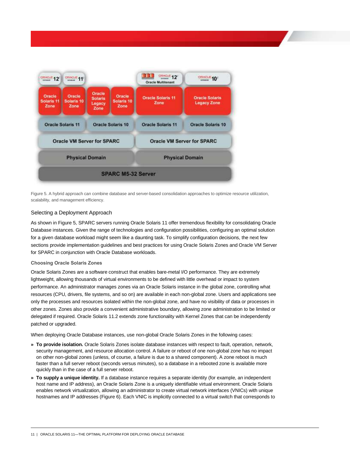

<span id="page-12-0"></span>Figure 5. A hybrid approach can combine database and server-based consolidation approaches to optimize resource utilization, scalability, and management efficiency.

### Selecting a Deployment Approach

As shown i[n Figure 5,](#page-12-0) SPARC servers running Oracle Solaris 11 offer tremendous flexibility for consolidating Oracle Database instances. Given the range of technologies and configuration possibilities, configuring an optimal solution for a given database workload might seem like a daunting task. To simplify configuration decisions, the next few sections provide implementation guidelines and best practices for using Oracle Solaris Zones and Oracle VM Server for SPARC in conjunction with Oracle Database workloads.

#### **Choosing Oracle Solaris Zones**

Oracle Solaris Zones are a software construct that enables bare-metal I/O performance. They are extremely lightweight, allowing thousands of virtual environments to be defined with little overhead or impact to system performance. An administrator manages zones via an Oracle Solaris instance in the global zone, controlling what resources (CPU, drivers, file systems, and so on) are available in each non-global zone. Users and applications see only the processes and resources isolated within the non-global zone, and have no visibility of data or processes in other zones. Zones also provide a convenient administrative boundary, allowing zone administration to be limited or delegated if required. Oracle Solaris 11.2 extends zone functionality with Kernel Zones that can be independently patched or upgraded.

When deploying Oracle Database instances, use non-global Oracle Solaris Zones in the following cases:

- **» To provide isolation.** Oracle Solaris Zones isolate database instances with respect to fault, operation, network, security management, and resource allocation control. A failure or reboot of one non-global zone has no impact on other non-global zones (unless, of course, a failure is due to a shared component). A zone reboot is much faster than a full server reboot (seconds versus minutes), so a database in a rebooted zone is available more quickly than in the case of a full server reboot.
- **» To supply a unique identity.** If a database instance requires a separate identity (for example, an independent host name and IP address), an Oracle Solaris Zone is a uniquely identifiable virtual environment. Oracle Solaris enables network virtualization, allowing an administrator to create virtual network interfaces (VNICs) with unique hostnames and IP addresses [\(Figure 6\)](#page-13-0). Each VNIC is implicitly connected to a virtual switch that corresponds to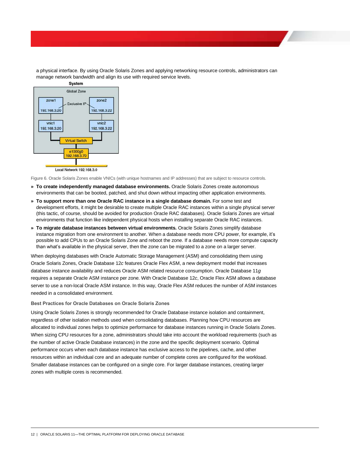

a physical interface. By using Oracle Solaris Zones and applying networking resource controls, administrators can manage network bandwidth and align its use with required service levels.

<span id="page-13-0"></span>Figure 6. Oracle Solaris Zones enable VNICs (with unique hostnames and IP addresses) that are subject to resource controls.

- **» To create independently managed database environments.** Oracle Solaris Zones create autonomous environments that can be booted, patched, and shut down without impacting other application environments.
- **» To support more than one Oracle RAC instance in a single database domain.** For some test and development efforts, it might be desirable to create multiple Oracle RAC instances within a single physical server (this tactic, of course, should be avoided for production Oracle RAC databases). Oracle Solaris Zones are virtual environments that function like independent physical hosts when installing separate Oracle RAC instances.
- **» To migrate database instances between virtual environments.** Oracle Solaris Zones simplify database instance migration from one environment to another. When a database needs more CPU power, for example, it's possible to add CPUs to an Oracle Solaris Zone and reboot the zone. If a database needs more compute capacity than what's available in the physical server, then the zone can be migrated to a zone on a larger server.

When deploying databases with Oracle Automatic Storage Management (ASM) and consolidating them using Oracle Solaris Zones, Oracle Database 12*c* features Oracle Flex ASM, a new deployment model that increases database instance availability and reduces Oracle ASM related resource consumption. Oracle Database 11*g* requires a separate Oracle ASM instance per zone. With Oracle Database 12*c*, Oracle Flex ASM allows a database server to use a non-local Oracle ASM instance. In this way, Oracle Flex ASM reduces the number of ASM instances needed in a consolidated environment.

**Best Practices for Oracle Databases on Oracle Solaris Zones** 

Using Oracle Solaris Zones is strongly recommended for Oracle Database instance isolation and containment, regardless of other isolation methods used when consolidating databases. Planning how CPU resources are allocated to individual zones helps to optimize performance for database instances running in Oracle Solaris Zones. When sizing CPU resources for a zone, administrators should take into account the workload requirements (such as the number of active Oracle Database instances) in the zone and the specific deployment scenario. Optimal performance occurs when each database instance has exclusive access to the pipelines, cache, and other resources within an individual core and an adequate number of complete cores are configured for the workload. Smaller database instances can be configured on a single core. For larger database instances, creating larger zones with multiple cores is recommended.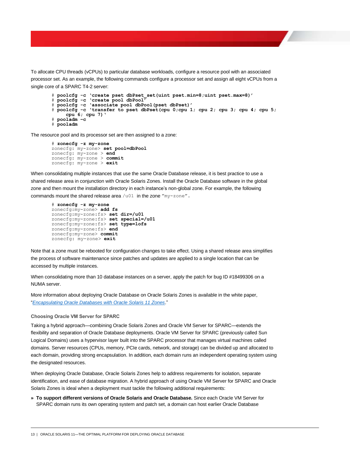To allocate CPU threads (vCPUs) to particular database workloads, configure a resource pool with an associated processor set. As an example, the following commands configure a processor set and assign all eight vCPUs from a single core of a SPARC T4-2 server:

```
# poolcfg -c 'create pset dbPset_set(uint pset.min=8;uint pset.max=8)'
# poolcfg -c 'create pool dbPool'
# poolcfg -c 'associate pool dbPool(pset dbPset)'
# poolcfg -c 'transfer to pset dbPset(cpu 0;cpu 1; cpu 2; cpu 3; cpu 4; cpu 5;
     cpu 6; cpu 7)'
# pooladm –c
# pooladm
```
The resource pool and its processor set are then assigned to a zone:

```
# zonecfg -z my-zone
zonecfg: my-zone> set pool=dbPool
zonecfg: my-zone > end
zonecfg: my-zone > commit
zonecfg: my-zone > exit
```
When consolidating multiple instances that use the same Oracle Database release, it is best practice to use a shared release area in conjunction with Oracle Solaris Zones. Install the Oracle Database software in the global zone and then mount the installation directory in each instance's non-global zone. For example, the following commands mount the shared release area /u01 in the zone "my-zone".

```
# zonecfg -z my-zone
zonecfg:my-zone> add fs
zonecfg:my-zone:fs> set dir=/u01
zonecfg:my-zone:fs> set special=/u01
zonecfg:my-zone:fs> set type=lofs
zonecfg:my-zone:fs> end
zonecfg:my-zone> commit
zonecfg: my-zone> exit
```
Note that a zone must be rebooted for configuration changes to take effect. Using a shared release area simplifies the process of software maintenance since patches and updates are applied to a single location that can be accessed by multiple instances.

When consolidating more than 10 database instances on a server, apply the patch for bug ID #18499306 on a NUMA server.

More information about deploying Oracle Database on Oracle Solaris Zones is available in the white paper, "*[Encapsulating Oracle Databases with Oracle Solaris 11 Zones](http://www.oracle.com/technetwork/database/database-cloud/private/dbcloud-s11-zones-wp-1911914.pdf)*."

#### **Choosing Oracle VM Server for SPARC**

Taking a hybrid approach—combining Oracle Solaris Zones and Oracle VM Server for SPARC—extends the flexibility and separation of Oracle Database deployments. Oracle VM Server for SPARC (previously called Sun Logical Domains) uses a hypervisor layer built into the SPARC processor that manages virtual machines called domains. Server resources (CPUs, memory, PCIe cards, network, and storage) can be divided up and allocated to each domain, providing strong encapsulation. In addition, each domain runs an independent operating system using the designated resources.

When deploying Oracle Database, Oracle Solaris Zones help to address requirements for isolation, separate identification, and ease of database migration. A hybrid approach of using Oracle VM Server for SPARC and Oracle Solaris Zones is ideal when a deployment must tackle the following additional requirements:

**» To support different versions of Oracle Solaris and Oracle Database.** Since each Oracle VM Server for SPARC domain runs its own operating system and patch set, a domain can host earlier Oracle Database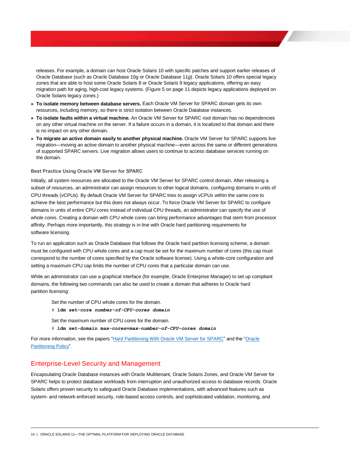releases. For example, a domain can host Oracle Solaris 10 with specific patches and support earlier releases of Oracle Database (such as Oracle Database 10*g* or Oracle Database 11*g*). Oracle Solaris 10 offers special legacy zones that are able to host some Oracle Solaris 8 or Oracle Solaris 9 legacy applications, offering an easy migration path for aging, high-cost legacy systems. [\(Figure 5](#page-12-0) on page [11](#page-12-0) depicts legacy applications deployed on Oracle Solaris legacy zones.)

- **» To isolate memory between database servers.** Each Oracle VM Server for SPARC domain gets its own resources, including memory, so there is strict isolation between Oracle Database instances.
- **» To isolate faults within a virtual machine.** An Oracle VM Server for SPARC root domain has no dependencies on any other virtual machine on the server. If a failure occurs in a domain, it is localized to that domain and there is no impact on any other domain.
- **» To migrate an active domain easily to another physical machine.** Oracle VM Server for SPARC supports live migration—moving an active domain to another physical machine—even across the same or different generations of supported SPARC servers. Live migration allows users to continue to access database services running on the domain.

#### **Best Practice Using Oracle VM Server for SPARC**

Initially, all system resources are allocated to the Oracle VM Server for SPARC control domain. After releasing a subset of resources, an administrator can assign resources to other logical domains, configuring domains in units of CPU threads (vCPUs). By default Oracle VM Server for SPARC tries to assign vCPUs within the same core to achieve the best performance but this does not always occur. To force Oracle VM Server for SPARC to configure domains in units of entire CPU cores instead of individual CPU threads, an administrator can specify the use of whole cores. Creating a domain with CPU whole cores can bring performance advantages that stem from processor affinity. Perhaps more importantly, this strategy is in line with Oracle hard partitioning requirements for software licensing.

To run an application such as Oracle Database that follows the Oracle hard partition licensing scheme, a domain must be configured with CPU whole cores and a cap must be set for the maximum number of cores (this cap must correspond to the number of cores specified by the Oracle software license). Using a whole-core configuration and setting a maximum CPU cap limits the number of CPU cores that a particular domain can use.

While an administrator can use a graphical interface (for example, Oracle Enterprise Manager) to set up compliant domains, the following two commands can also be used to create a domain that adheres to Oracle hard partition licensing:

- Set the number of CPU whole cores for the domain.
- # **ldm set-core** *number-of-CPU-cores domain*
- Set the maximum number of CPU cores for the domain.
- # **ldm set-domain max-cores=***max-number-of-CPU-cores domain*

For more information, see the papers ["Hard Partitioning With Oracle VM Server for SPARC"](http://www.oracle.com/technetwork/server-storage/vm/ovm-sparc-hard-partitioning-1403135.pdf) and the "Oracle [Partitioning Policy"](http://www.oracle.com/us/corporate/pricing/partitioning-070609.pdf).

### Enterprise-Level Security and Management

Encapsulating Oracle Database instances with Oracle Multitenant, Oracle Solaris Zones, and Oracle VM Server for SPARC helps to protect database workloads from interruption and unauthorized access to database records. Oracle Solaris offers proven security to safeguard Oracle Database implementations, with advanced features such as system- and network-enforced security, role-based access controls, and sophisticated validation, monitoring, and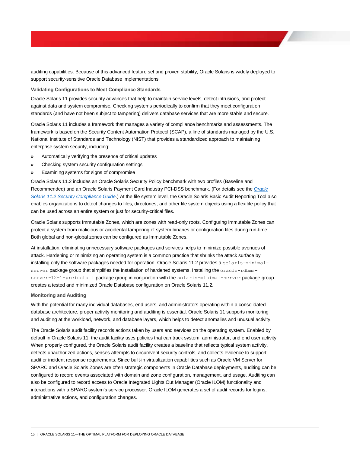auditing capabilities. Because of this advanced feature set and proven stability, Oracle Solaris is widely deployed to support security-sensitive Oracle Database implementations.

**Validating Configurations to Meet Compliance Standards**

Oracle Solaris 11 provides security advances that help to maintain service levels, detect intrusions, and protect against data and system compromise. Checking systems periodically to confirm that they meet configuration standards (and have not been subject to tampering) delivers database services that are more stable and secure.

Oracle Solaris 11 includes a framework that manages a variety of compliance benchmarks and assessments. The framework is based on the Security Content Automation Protocol (SCAP), a line of standards managed by the U.S. National Institute of Standards and Technology (NIST) that provides a standardized approach to maintaining enterprise system security, including:

- **»** Automatically verifying the presence of critical updates
- **»** Checking system security configuration settings
- **»** Examining systems for signs of compromise

Oracle Solaris 11.2 includes an Oracle Solaris Security Policy benchmark with two profiles (Baseline and Recommended) and an Oracle Solaris Payment Card Industry PCI-DSS benchmark. (For details see the *[Oracle](http://docs.oracle.com/cd/E36784_01/html/E39067/index.html)  [Solaris 11.2 Security Compliance Guide](http://docs.oracle.com/cd/E36784_01/html/E39067/index.html)*.) At the file system level, the Oracle Solaris Basic Audit Reporting Tool also enables organizations to detect changes to files, directories, and other file system objects using a flexible policy that can be used across an entire system or just for security-critical files.

Oracle Solaris supports Immutable Zones, which are zones with read-only roots. Configuring Immutable Zones can protect a system from malicious or accidental tampering of system binaries or configuration files during run-time. Both global and non-global zones can be configured as Immutable Zones.

At installation, eliminating unnecessary software packages and services helps to minimize possible avenues of attack. Hardening or minimizing an operating system is a common practice that shrinks the attack surface by installing only the software packages needed for operation. Oracle Solaris 11.2 provides a solaris-minimalserver package group that simplifies the installation of hardened systems. Installing the oracle-rdbmsserver-12-1-preinstall package group in conjunction with the solaris-minimal-server package group creates a tested and minimized Oracle Database configuration on Oracle Solaris 11.2.

#### **Monitoring and Auditing**

With the potential for many individual databases, end users, and administrators operating within a consolidated database architecture, proper activity monitoring and auditing is essential. Oracle Solaris 11 supports monitoring and auditing at the workload, network, and database layers, which helps to detect anomalies and unusual activity.

The Oracle Solaris audit facility records actions taken by users and services on the operating system. Enabled by default in Oracle Solaris 11, the audit facility uses policies that can track system, administrator, and end user activity. When properly configured, the Oracle Solaris audit facility creates a baseline that reflects typical system activity, detects unauthorized actions, senses attempts to circumvent security controls, and collects evidence to support audit or incident response requirements. Since built-in virtualization capabilities such as Oracle VM Server for SPARC and Oracle Solaris Zones are often strategic components in Oracle Database deployments, auditing can be configured to record events associated with domain and zone configuration, management, and usage. Auditing can also be configured to record access to Oracle Integrated Lights Out Manager (Oracle ILOM) functionality and interactions with a SPARC system's service processor. Oracle ILOM generates a set of audit records for logins, administrative actions, and configuration changes.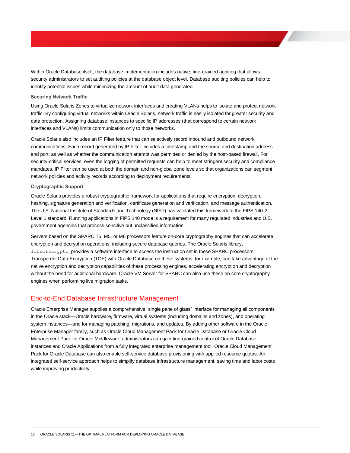Within Oracle Database itself, the database implementation includes native, fine-grained auditing that allows security administrators to set auditing policies at the database object level. Database auditing policies can help to identify potential issues while minimizing the amount of audit data generated.

#### **Securing Network Traffic**

Using Oracle Solaris Zones to virtualize network interfaces and creating VLANs helps to isolate and protect network traffic. By configuring virtual networks within Oracle Solaris, network traffic is easily isolated for greater security and data protection. Assigning database instances to specific IP addresses (that correspond to certain network interfaces and VLANs) limits communication only to those networks.

Oracle Solaris also includes an IP Filter feature that can selectively record inbound and outbound network communications. Each record generated by IP Filter includes a timestamp and the source and destination address and port, as well as whether the communication attempt was permitted or denied by the host-based firewall. For security-critical services, even the logging of permitted requests can help to meet stringent security and compliance mandates. IP Filter can be used at both the domain and non-global zone levels so that organizations can segment network policies and activity records according to deployment requirements.

#### **Cryptographic Support**

Oracle Solaris provides a robust cryptographic framework for applications that require encryption, decryption, hashing, signature generation and verification, certificate generation and verification, and message authentication. The U.S. National Institute of Standards and Technology (NIST) has validated this framework to the FIPS 140-2 Level 1 standard. Running applications in FIPS 140 mode is a requirement for many regulated industries and U.S. government agencies that process sensitive but unclassified information.

Servers based on the SPARC T5, M5, or M6 processors feature on-core cryptography engines that can accelerate encryption and decryption operations, including secure database queries. The Oracle Solaris library, libsoftcrypto, provides a software interface to access the instruction set in these SPARC processors. Transparent Data Encryption (TDE) with Oracle Database on these systems, for example, can take advantage of the native encryption and decryption capabilities of these processing engines, accelerating encryption and decryption without the need for additional hardware. Oracle VM Server for SPARC can also use these on-core cryptography engines when performing live migration tasks.

## End-to-End Database Infrastructure Management

Oracle Enterprise Manager supplies a comprehensive "single pane of glass" interface for managing all components in the Oracle stack—Oracle hardware, firmware, virtual systems (including domains and zones), and operating system instances—and for managing patching, migrations, and updates. By adding other software in the Oracle Enterprise Manager family, such as Oracle Cloud Management Pack for Oracle Database or Oracle Cloud Management Pack for Oracle Middleware, administrators can gain fine-grained control of Oracle Database instances and Oracle Applications from a fully integrated enterprise management tool. Oracle Cloud Management Pack for Oracle Database can also enable self-service database provisioning with applied resource quotas. An integrated self-service approach helps to simplify database infrastructure management, saving time and labor costs while improving productivity.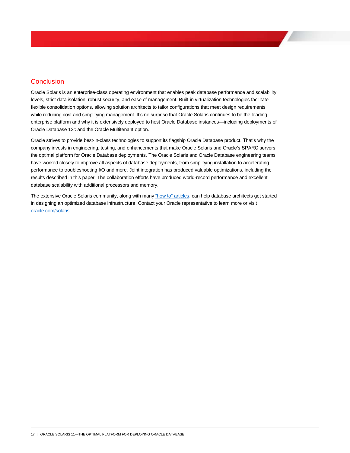# **Conclusion**

Oracle Solaris is an enterprise-class operating environment that enables peak database performance and scalability levels, strict data isolation, robust security, and ease of management. Built-in virtualization technologies facilitate flexible consolidation options, allowing solution architects to tailor configurations that meet design requirements while reducing cost and simplifying management. It's no surprise that Oracle Solaris continues to be the leading enterprise platform and why it is extensively deployed to host Oracle Database instances—including deployments of Oracle Database 12*c* and the Oracle Multitenant option.

Oracle strives to provide best-in-class technologies to support its flagship Oracle Database product. That's why the company invests in engineering, testing, and enhancements that make Oracle Solaris and Oracle's SPARC servers the optimal platform for Oracle Database deployments. The Oracle Solaris and Oracle Database engineering teams have worked closely to improve all aspects of database deployments, from simplifying installation to accelerating performance to troubleshooting I/O and more. Joint integration has produced valuable optimizations, including the results described in this paper. The collaboration efforts have produced world-record performance and excellent database scalability with additional processors and memory.

The extensive Oracle Solaris community, along with many ["how to" articles,](http://www.oracle.com/technetwork/server-storage/solaris11/documentation/how-to-517481.html) can help database architects get started in designing an optimized database infrastructure. Contact your Oracle representative to learn more or visit [oracle.com/solaris.](http://www.oracle.com/solaris)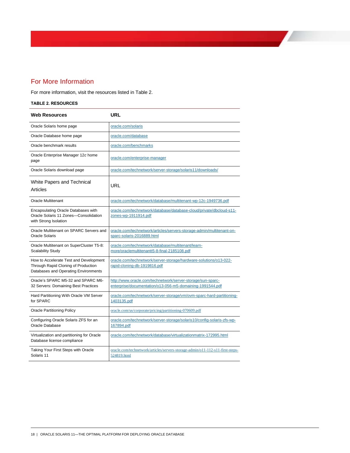# For More Information

For more information, visit the resources listed in Table 2.

#### **TABLE 2. RESOURCES**

| <b>Web Resources</b>                                                                                                  | <b>URL</b>                                                                                                               |
|-----------------------------------------------------------------------------------------------------------------------|--------------------------------------------------------------------------------------------------------------------------|
| Oracle Solaris home page                                                                                              | oracle.com/solaris                                                                                                       |
| Oracle Database home page                                                                                             | oracle.com/database                                                                                                      |
| Oracle benchmark results                                                                                              | oracle.com/benchmarks                                                                                                    |
| Oracle Enterprise Manager 12c home<br>page                                                                            | oracle.com/enterprise-manager                                                                                            |
| Oracle Solaris download page                                                                                          | oracle.com/technetwork/server-storage/solaris11/downloads/                                                               |
| White Papers and Technical<br>Articles                                                                                | URL                                                                                                                      |
| <b>Oracle Multitenant</b>                                                                                             | oracle.com/technetwork/database/multitenant-wp-12c-1949736.pdf                                                           |
| Encapsulating Oracle Databases with<br>Oracle Solaris 11 Zones-Consolidation<br>with Strong Isolation                 | oracle.com/technetwork/database/database-cloud/private/dbcloud-s11-<br>zones-wp-1911914.pdf                              |
| Oracle Multitenant on SPARC Servers and<br><b>Oracle Solaris</b>                                                      | oracle.com/technetwork/articles/servers-storage-admin/multitenant-on-<br>sparc-solaris-2016889.html                      |
| Oracle Multitenant on SuperCluster T5-8:<br>Scalability Study                                                         | oracle.com/technetwork/database/multitenant/learn-<br>more/oraclemultitenantt5-8-final-2185108.pdf                       |
| How to Accelerate Test and Development<br>Through Rapid Cloning of Production<br>Databases and Operating Environments | oracle.com/technetwork/server-storage/hardware-solutions/o13-022-<br>rapid-cloning-db-1919816.pdf                        |
| Oracle's SPARC M5-32 and SPARC M6-<br>32 Servers: Domaining Best Practices                                            | http://www.oracle.com/technetwork/server-storage/sun-sparc-<br>enterprise/documentation/o13-056-m5-domaining-1991544.pdf |
| Hard Partitioning With Oracle VM Server<br>for SPARC                                                                  | oracle.com/technetwork/server-storage/vm/ovm-sparc-hard-partitioning-<br>1403135.pdf                                     |
| <b>Oracle Partitioning Policy</b>                                                                                     | oracle.com/us/corporate/pricing/partitioning-070609.pdf                                                                  |
| Configuring Oracle Solaris ZFS for an<br>Oracle Database                                                              | oracle.com/technetwork/server-storage/solaris10/config-solaris-zfs-wp-<br>167894.pdf                                     |
| Virtualization and partitioning for Oracle<br>Database license compliance                                             | oracle.com/technetwork/database/virtualizationmatrix-172995.html                                                         |
| Taking Your First Steps with Oracle<br>Solaris 11                                                                     | oracle.com/technetwork/articles/servers-storage-admin/o11-112-s11-first-steps-<br>524819.html                            |